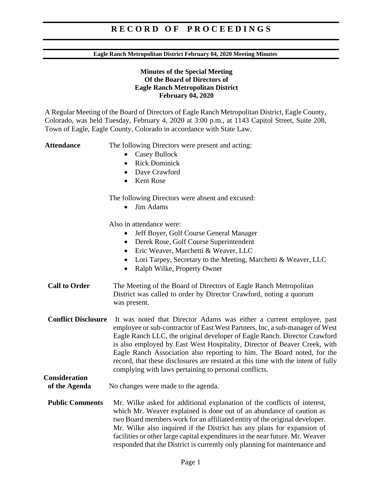#### **Eagle Ranch Metropolitan District February 04, 2020 Meeting Minutes**

#### **Minutes of the Special Meeting Of the Board of Directors of Eagle Ranch Metropolitan District February 04, 2020**

A Regular Meeting of the Board of Directors of Eagle Ranch Metropolitan District, Eagle County, Colorado, was held Tuesday, February 4, 2020 at 3:00 p.m., at 1143 Capitol Street, Suite 208, Town of Eagle, Eagle County, Colorado in accordance with State Law.

**Consideration** 

Attendance The following Directors were present and acting:

- Casey Bullock
- Rick Dominick
- Dave Crawford
- Kent Rose

The following Directors were absent and excused:

• Jim Adams

Also in attendance were:

- Jeff Boyer, Golf Course General Manager
- Derek Rose, Golf Course Superintendent
- Eric Weaver, Marchetti & Weaver, LLC
- Lori Tarpey, Secretary to the Meeting, Marchetti & Weaver, LLC
- Ralph Wilke, Property Owner
- **Call to Order** The Meeting of the Board of Directors of Eagle Ranch Metropolitan District was called to order by Director Crawford, noting a quorum was present.
- **Conflict Disclosure** It was noted that Director Adams was either a current employee, past employee or sub-contractor of East West Partners, Inc, a sub-manager of West Eagle Ranch LLC, the original developer of Eagle Ranch. Director Crawford is also employed by East West Hospitality, Director of Beaver Creek, with Eagle Ranch Association also reporting to him. The Board noted, for the record, that these disclosures are restated at this time with the intent of fully complying with laws pertaining to personal conflicts.

## **of the Agenda** No changes were made to the agenda.

**Public Comments** Mr. Wilke asked for additional explanation of the conflicts of interest, which Mr. Weaver explained is done out of an abundance of caution as two Board members work for an affiliated entity of the original developer. Mr. Wilke also inquired if the District has any plans for expansion of facilities or other large capital expenditures in the near future. Mr. Weaver responded that the District is currently only planning for maintenance and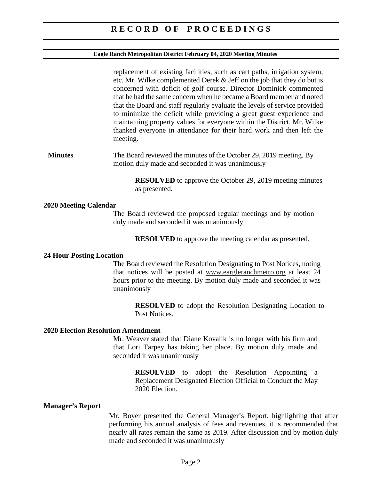#### **Eagle Ranch Metropolitan District February 04, 2020 Meeting Minutes**

replacement of existing facilities, such as cart paths, irrigation system, etc. Mr. Wilke complemented Derek & Jeff on the job that they do but is concerned with deficit of golf course. Director Dominick commented that he had the same concern when he became a Board member and noted that the Board and staff regularly evaluate the levels of service provided to minimize the deficit while providing a great guest experience and maintaining property values for everyone within the District. Mr. Wilke thanked everyone in attendance for their hard work and then left the meeting.

**Minutes** The Board reviewed the minutes of the October 29, 2019 meeting. By motion duly made and seconded it was unanimously

> **RESOLVED** to approve the October 29, 2019 meeting minutes as presented.

#### **2020 Meeting Calendar**

The Board reviewed the proposed regular meetings and by motion duly made and seconded it was unanimously

**RESOLVED** to approve the meeting calendar as presented.

#### **24 Hour Posting Location**

The Board reviewed the Resolution Designating to Post Notices, noting that notices will be posted at www.eargleranchmetro.org at least 24 hours prior to the meeting. By motion duly made and seconded it was unanimously

> **RESOLVED** to adopt the Resolution Designating Location to Post Notices.

#### **2020 Election Resolution Amendment**

Mr. Weaver stated that Diane Kovalik is no longer with his firm and that Lori Tarpey has taking her place. By motion duly made and seconded it was unanimously

> **RESOLVED** to adopt the Resolution Appointing a Replacement Designated Election Official to Conduct the May 2020 Election.

#### **Manager's Report**

Mr. Boyer presented the General Manager's Report, highlighting that after performing his annual analysis of fees and revenues, it is recommended that nearly all rates remain the same as 2019. After discussion and by motion duly made and seconded it was unanimously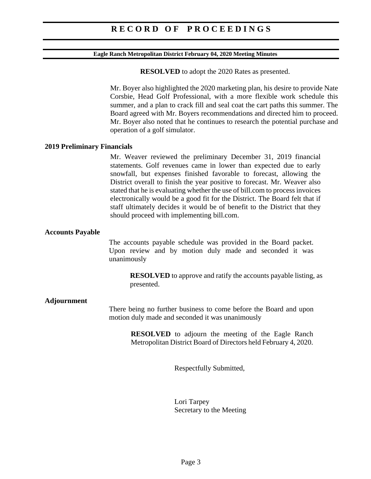#### **Eagle Ranch Metropolitan District February 04, 2020 Meeting Minutes**

**RESOLVED** to adopt the 2020 Rates as presented.

Mr. Boyer also highlighted the 2020 marketing plan, his desire to provide Nate Corsbie, Head Golf Professional, with a more flexible work schedule this summer, and a plan to crack fill and seal coat the cart paths this summer. The Board agreed with Mr. Boyers recommendations and directed him to proceed. Mr. Boyer also noted that he continues to research the potential purchase and operation of a golf simulator.

#### **2019 Preliminary Financials**

Mr. Weaver reviewed the preliminary December 31, 2019 financial statements. Golf revenues came in lower than expected due to early snowfall, but expenses finished favorable to forecast, allowing the District overall to finish the year positive to forecast. Mr. Weaver also stated that he is evaluating whether the use of bill.com to process invoices electronically would be a good fit for the District. The Board felt that if staff ultimately decides it would be of benefit to the District that they should proceed with implementing bill.com.

#### **Accounts Payable**

The accounts payable schedule was provided in the Board packet. Upon review and by motion duly made and seconded it was unanimously

**RESOLVED** to approve and ratify the accounts payable listing, as presented.

#### **Adjournment**

There being no further business to come before the Board and upon motion duly made and seconded it was unanimously

> **RESOLVED** to adjourn the meeting of the Eagle Ranch Metropolitan District Board of Directors held February 4, 2020.

> > Respectfully Submitted,

Lori Tarpey Secretary to the Meeting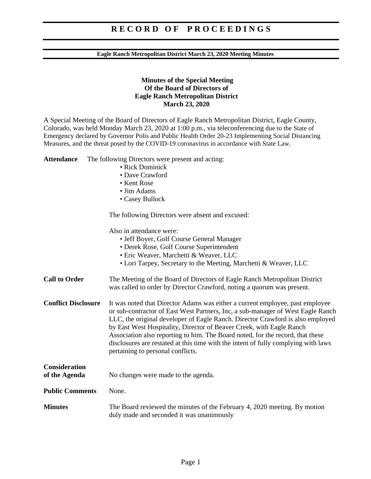#### **Eagle Ranch Metropolitan District March 23, 2020 Meeting Minutes**

#### **Minutes of the Special Meeting Of the Board of Directors of Eagle Ranch Metropolitan District March 23, 2020**

A Special Meeting of the Board of Directors of Eagle Ranch Metropolitan District, Eagle County, Colorado, was held Monday March 23, 2020 at 1:00 p.m., via teleconferencing due to the State of Emergency declared by Governor Polis and Public Health Order 20-23 Implementing Social Distancing Measures, and the threat posed by the COVID-19 coronavirus in accordance with State Law.

**Attendance** The following Directors were present and acting:

- Rick Dominick
- Dave Crawford
- Kent Rose
- Jim Adams
- Casey Bullock

The following Directors were absent and excused:

|                                | Also in attendance were:<br>• Jeff Boyer, Golf Course General Manager<br>• Derek Rose, Golf Course Superintendent<br>· Eric Weaver, Marchetti & Weaver, LLC<br>• Lori Tarpey, Secretary to the Meeting, Marchetti & Weaver, LLC                                                                                                                                                                                                                                                                                                         |  |
|--------------------------------|-----------------------------------------------------------------------------------------------------------------------------------------------------------------------------------------------------------------------------------------------------------------------------------------------------------------------------------------------------------------------------------------------------------------------------------------------------------------------------------------------------------------------------------------|--|
| <b>Call to Order</b>           | The Meeting of the Board of Directors of Eagle Ranch Metropolitan District<br>was called to order by Director Crawford, noting a quorum was present.                                                                                                                                                                                                                                                                                                                                                                                    |  |
| <b>Conflict Disclosure</b>     | It was noted that Director Adams was either a current employee, past employee<br>or sub-contractor of East West Partners, Inc, a sub-manager of West Eagle Ranch<br>LLC, the original developer of Eagle Ranch. Director Crawford is also employed<br>by East West Hospitality, Director of Beaver Creek, with Eagle Ranch<br>Association also reporting to him. The Board noted, for the record, that these<br>disclosures are restated at this time with the intent of fully complying with laws<br>pertaining to personal conflicts. |  |
| Consideration<br>of the Agenda | No changes were made to the agenda.                                                                                                                                                                                                                                                                                                                                                                                                                                                                                                     |  |
| <b>Public Comments</b>         | None.                                                                                                                                                                                                                                                                                                                                                                                                                                                                                                                                   |  |
| <b>Minutes</b>                 | The Board reviewed the minutes of the February 4, 2020 meeting. By motion<br>duly made and seconded it was unanimously                                                                                                                                                                                                                                                                                                                                                                                                                  |  |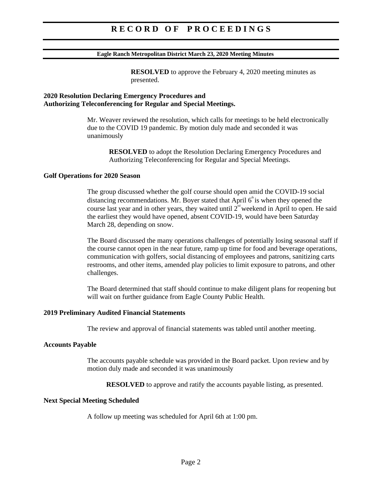#### **Eagle Ranch Metropolitan District March 23, 2020 Meeting Minutes**

**RESOLVED** to approve the February 4, 2020 meeting minutes as presented.

#### **2020 Resolution Declaring Emergency Procedures and Authorizing Teleconferencing for Regular and Special Meetings.**

Mr. Weaver reviewed the resolution, which calls for meetings to be held electronically due to the COVID 19 pandemic. By motion duly made and seconded it was unanimously

**RESOLVED** to adopt the Resolution Declaring Emergency Procedures and Authorizing Teleconferencing for Regular and Special Meetings.

#### **Golf Operations for 2020 Season**

The group discussed whether the golf course should open amid the COVID-19 social distancing recommendations. Mr. Boyer stated that April  $6<sup>th</sup>$  is when they opened the course last year and in other years, they waited until  $2<sup>nd</sup>$  weekend in April to open. He said the earliest they would have opened, absent COVID-19, would have been Saturday March 28, depending on snow.

The Board discussed the many operations challenges of potentially losing seasonal staff if the course cannot open in the near future, ramp up time for food and beverage operations, communication with golfers, social distancing of employees and patrons, sanitizing carts restrooms, and other items, amended play policies to limit exposure to patrons, and other challenges.

The Board determined that staff should continue to make diligent plans for reopening but will wait on further guidance from Eagle County Public Health.

#### **2019 Preliminary Audited Financial Statements**

The review and approval of financial statements was tabled until another meeting.

#### **Accounts Payable**

The accounts payable schedule was provided in the Board packet. Upon review and by motion duly made and seconded it was unanimously

**RESOLVED** to approve and ratify the accounts payable listing, as presented.

#### **Next Special Meeting Scheduled**

A follow up meeting was scheduled for April 6th at 1:00 pm.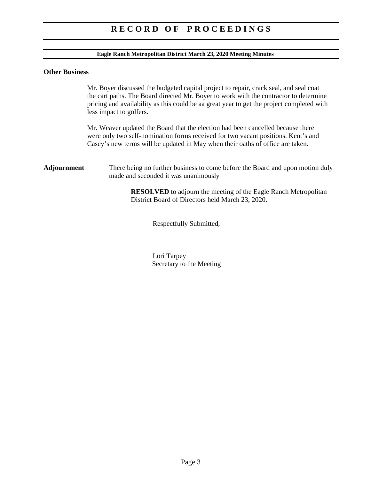#### **Eagle Ranch Metropolitan District March 23, 2020 Meeting Minutes**

#### **Other Business**

Mr. Boyer discussed the budgeted capital project to repair, crack seal, and seal coat the cart paths. The Board directed Mr. Boyer to work with the contractor to determine pricing and availability as this could be aa great year to get the project completed with less impact to golfers.

Mr. Weaver updated the Board that the election had been cancelled because there were only two self-nomination forms received for two vacant positions. Kent's and Casey's new terms will be updated in May when their oaths of office are taken.

**Adjournment** There being no further business to come before the Board and upon motion duly made and seconded it was unanimously

> **RESOLVED** to adjourn the meeting of the Eagle Ranch Metropolitan District Board of Directors held March 23, 2020.

> > Respectfully Submitted,

Lori Tarpey Secretary to the Meeting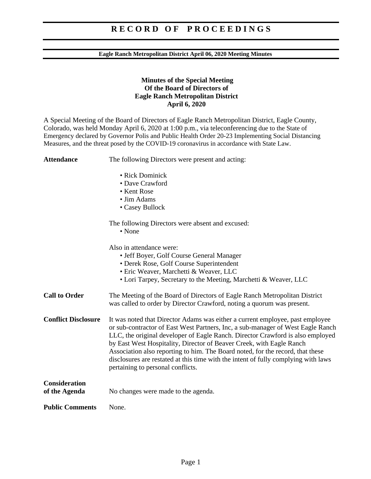#### **Eagle Ranch Metropolitan District April 06, 2020 Meeting Minutes**

#### **Minutes of the Special Meeting Of the Board of Directors of Eagle Ranch Metropolitan District April 6, 2020**

A Special Meeting of the Board of Directors of Eagle Ranch Metropolitan District, Eagle County, Colorado, was held Monday April 6, 2020 at 1:00 p.m., via teleconferencing due to the State of Emergency declared by Governor Polis and Public Health Order 20-23 Implementing Social Distancing Measures, and the threat posed by the COVID-19 coronavirus in accordance with State Law.

| <b>Attendance</b>                     | The following Directors were present and acting:                                                                                                                                                                                                                                                                                                                                                                                                                                                                                        |  |
|---------------------------------------|-----------------------------------------------------------------------------------------------------------------------------------------------------------------------------------------------------------------------------------------------------------------------------------------------------------------------------------------------------------------------------------------------------------------------------------------------------------------------------------------------------------------------------------------|--|
|                                       | · Rick Dominick<br>• Dave Crawford<br>• Kent Rose<br>• Jim Adams<br>• Casey Bullock                                                                                                                                                                                                                                                                                                                                                                                                                                                     |  |
|                                       | The following Directors were absent and excused:<br>• None                                                                                                                                                                                                                                                                                                                                                                                                                                                                              |  |
|                                       | Also in attendance were:<br>• Jeff Boyer, Golf Course General Manager<br>• Derek Rose, Golf Course Superintendent<br>· Eric Weaver, Marchetti & Weaver, LLC<br>• Lori Tarpey, Secretary to the Meeting, Marchetti & Weaver, LLC                                                                                                                                                                                                                                                                                                         |  |
| <b>Call to Order</b>                  | The Meeting of the Board of Directors of Eagle Ranch Metropolitan District<br>was called to order by Director Crawford, noting a quorum was present.                                                                                                                                                                                                                                                                                                                                                                                    |  |
| <b>Conflict Disclosure</b>            | It was noted that Director Adams was either a current employee, past employee<br>or sub-contractor of East West Partners, Inc, a sub-manager of West Eagle Ranch<br>LLC, the original developer of Eagle Ranch. Director Crawford is also employed<br>by East West Hospitality, Director of Beaver Creek, with Eagle Ranch<br>Association also reporting to him. The Board noted, for the record, that these<br>disclosures are restated at this time with the intent of fully complying with laws<br>pertaining to personal conflicts. |  |
| <b>Consideration</b><br>of the Agenda | No changes were made to the agenda.                                                                                                                                                                                                                                                                                                                                                                                                                                                                                                     |  |
| <b>Public Comments</b>                | None.                                                                                                                                                                                                                                                                                                                                                                                                                                                                                                                                   |  |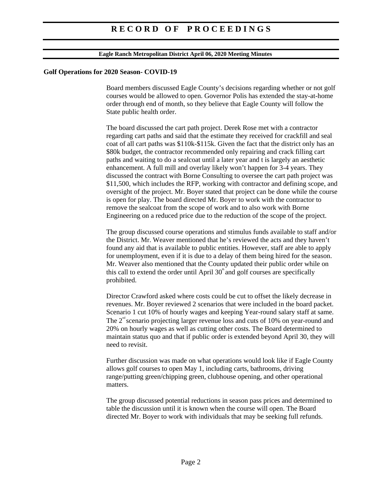#### **Eagle Ranch Metropolitan District April 06, 2020 Meeting Minutes**

#### **Golf Operations for 2020 Season- COVID-19**

Board members discussed Eagle County's decisions regarding whether or not golf courses would be allowed to open. Governor Polis has extended the stay-at-home order through end of month, so they believe that Eagle County will follow the State public health order.

The board discussed the cart path project. Derek Rose met with a contractor regarding cart paths and said that the estimate they received for crackfill and seal coat of all cart paths was \$110k-\$115k. Given the fact that the district only has an \$80k budget, the contractor recommended only repairing and crack filling cart paths and waiting to do a sealcoat until a later year and t is largely an aesthetic enhancement. A full mill and overlay likely won't happen for 3-4 years. They discussed the contract with Borne Consulting to oversee the cart path project was \$11,500, which includes the RFP, working with contractor and defining scope, and oversight of the project. Mr. Boyer stated that project can be done while the course is open for play. The board directed Mr. Boyer to work with the contractor to remove the sealcoat from the scope of work and to also work with Borne Engineering on a reduced price due to the reduction of the scope of the project.

The group discussed course operations and stimulus funds available to staff and/or the District. Mr. Weaver mentioned that he's reviewed the acts and they haven't found any aid that is available to public entities. However, staff are able to apply for unemployment, even if it is due to a delay of them being hired for the season. Mr. Weaver also mentioned that the County updated their public order while on this call to extend the order until April  $30^{\circ}$  and golf courses are specifically prohibited.

Director Crawford asked where costs could be cut to offset the likely decrease in revenues. Mr. Boyer reviewed 2 scenarios that were included in the board packet. Scenario 1 cut 10% of hourly wages and keeping Year-round salary staff at same. The  $2<sup>nd</sup>$  scenario projecting larger revenue loss and cuts of 10% on year-round and 20% on hourly wages as well as cutting other costs. The Board determined to maintain status quo and that if public order is extended beyond April 30, they will need to revisit.

Further discussion was made on what operations would look like if Eagle County allows golf courses to open May 1, including carts, bathrooms, driving range/putting green/chipping green, clubhouse opening, and other operational matters.

The group discussed potential reductions in season pass prices and determined to table the discussion until it is known when the course will open. The Board directed Mr. Boyer to work with individuals that may be seeking full refunds.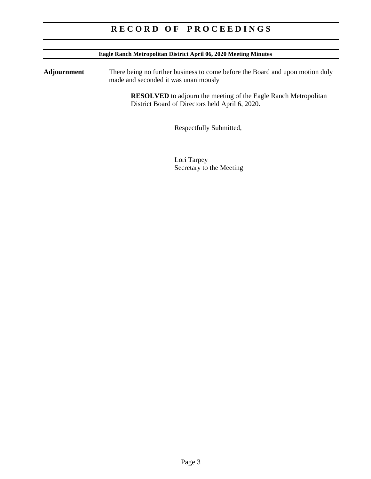| Eagle Ranch Metropolitan District April 06, 2020 Meeting Minutes                                                                                                                                                                                                  |             |  |
|-------------------------------------------------------------------------------------------------------------------------------------------------------------------------------------------------------------------------------------------------------------------|-------------|--|
| Adjournment<br>There being no further business to come before the Board and upon motion duly<br>made and seconded it was unanimously<br><b>RESOLVED</b> to adjourn the meeting of the Eagle Ranch Metropolitan<br>District Board of Directors held April 6, 2020. |             |  |
|                                                                                                                                                                                                                                                                   |             |  |
|                                                                                                                                                                                                                                                                   | Lori Tarpey |  |

Secretary to the Meeting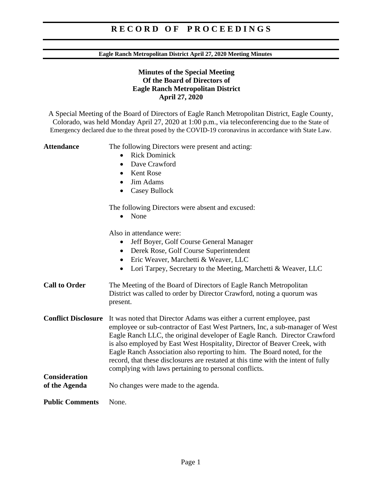#### **Eagle Ranch Metropolitan District April 27, 2020 Meeting Minutes**

### **Minutes of the Special Meeting Of the Board of Directors of Eagle Ranch Metropolitan District April 27, 2020**

A Special Meeting of the Board of Directors of Eagle Ranch Metropolitan District, Eagle County, Colorado, was held Monday April 27, 2020 at 1:00 p.m., via teleconferencing due to the State of Emergency declared due to the threat posed by the COVID-19 coronavirus in accordance with State Law.

Attendance The following Directors were present and acting:

- Rick Dominick
- Dave Crawford
- Kent Rose
- Jim Adams
- Casey Bullock

The following Directors were absent and excused:

• None

Also in attendance were:

- Jeff Boyer, Golf Course General Manager
- Derek Rose, Golf Course Superintendent
- Eric Weaver, Marchetti & Weaver, LLC
- Lori Tarpey, Secretary to the Meeting, Marchetti & Weaver, LLC
- **Call to Order** The Meeting of the Board of Directors of Eagle Ranch Metropolitan District was called to order by Director Crawford, noting a quorum was present.
- **Conflict Disclosure** It was noted that Director Adams was either a current employee, past employee or sub-contractor of East West Partners, Inc, a sub-manager of West Eagle Ranch LLC, the original developer of Eagle Ranch. Director Crawford is also employed by East West Hospitality, Director of Beaver Creek, with Eagle Ranch Association also reporting to him. The Board noted, for the record, that these disclosures are restated at this time with the intent of fully complying with laws pertaining to personal conflicts. **Consideration**
- **of the Agenda** No changes were made to the agenda.

**Public Comments** None.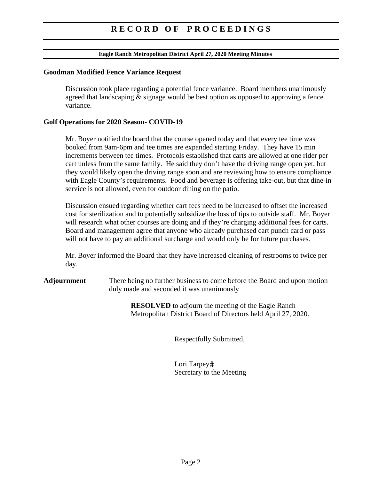#### **Eagle Ranch Metropolitan District April 27, 2020 Meeting Minutes**

#### **Goodman Modified Fence Variance Request**

 Discussion took place regarding a potential fence variance. Board members unanimously agreed that landscaping & signage would be best option as opposed to approving a fence variance.

#### **Golf Operations for 2020 Season- COVID-19**

 Mr. Boyer notified the board that the course opened today and that every tee time was booked from 9am-6pm and tee times are expanded starting Friday. They have 15 min increments between tee times. Protocols established that carts are allowed at one rider per cart unless from the same family. He said they don't have the driving range open yet, but they would likely open the driving range soon and are reviewing how to ensure compliance with Eagle County's requirements. Food and beverage is offering take-out, but that dine-in service is not allowed, even for outdoor dining on the patio.

 Discussion ensued regarding whether cart fees need to be increased to offset the increased cost for sterilization and to potentially subsidize the loss of tips to outside staff. Mr. Boyer will research what other courses are doing and if they're charging additional fees for carts. Board and management agree that anyone who already purchased cart punch card or pass will not have to pay an additional surcharge and would only be for future purchases.

 Mr. Boyer informed the Board that they have increased cleaning of restrooms to twice per day.

**Adjournment** There being no further business to come before the Board and upon motion duly made and seconded it was unanimously

> **RESOLVED** to adjourn the meeting of the Eagle Ranch Metropolitan District Board of Directors held April 27, 2020.

> > Respectfully Submitted,

Lori Tarpey# Secretary to the Meeting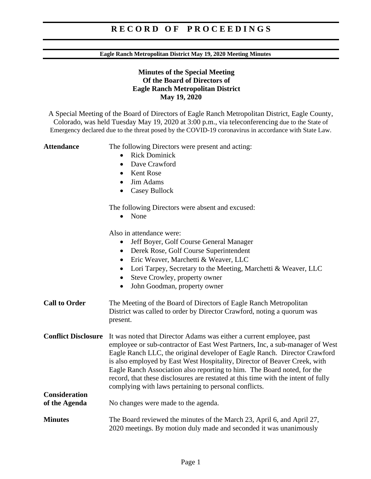#### **Eagle Ranch Metropolitan District May 19, 2020 Meeting Minutes**

### **Minutes of the Special Meeting Of the Board of Directors of Eagle Ranch Metropolitan District May 19, 2020**

A Special Meeting of the Board of Directors of Eagle Ranch Metropolitan District, Eagle County, Colorado, was held Tuesday May 19, 2020 at 3:00 p.m., via teleconferencing due to the State of Emergency declared due to the threat posed by the COVID-19 coronavirus in accordance with State Law.

Attendance The following Directors were present and acting:

- Rick Dominick
- Dave Crawford
- Kent Rose
- Jim Adams
- Casey Bullock

The following Directors were absent and excused:

• None

Also in attendance were:

- Jeff Boyer, Golf Course General Manager
- Derek Rose, Golf Course Superintendent
- Eric Weaver, Marchetti & Weaver, LLC
- Lori Tarpey, Secretary to the Meeting, Marchetti & Weaver, LLC
- Steve Crowley, property owner
- John Goodman, property owner
- **Call to Order** The Meeting of the Board of Directors of Eagle Ranch Metropolitan District was called to order by Director Crawford, noting a quorum was present.
- **Conflict Disclosure** It was noted that Director Adams was either a current employee, past employee or sub-contractor of East West Partners, Inc, a sub-manager of West Eagle Ranch LLC, the original developer of Eagle Ranch. Director Crawford is also employed by East West Hospitality, Director of Beaver Creek, with Eagle Ranch Association also reporting to him. The Board noted, for the record, that these disclosures are restated at this time with the intent of fully complying with laws pertaining to personal conflicts. **Consideration**
- **of the Agenda** No changes were made to the agenda.
- **Minutes** The Board reviewed the minutes of the March 23, April 6, and April 27, 2020 meetings. By motion duly made and seconded it was unanimously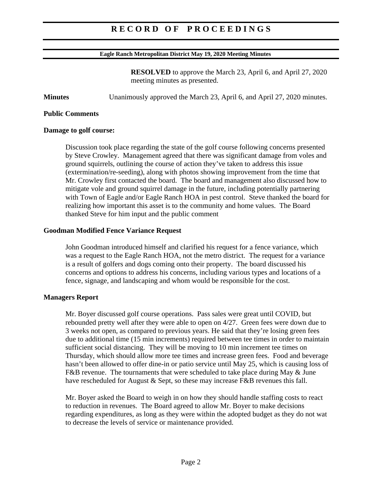#### **Eagle Ranch Metropolitan District May 19, 2020 Meeting Minutes**

**RESOLVED** to approve the March 23, April 6, and April 27, 2020 meeting minutes as presented.

**Minutes** Unanimously approved the March 23, April 6, and April 27, 2020 minutes.

#### **Public Comments**

#### **Damage to golf course:**

Discussion took place regarding the state of the golf course following concerns presented by Steve Crowley. Management agreed that there was significant damage from voles and ground squirrels, outlining the course of action they've taken to address this issue (extermination/re-seeding), along with photos showing improvement from the time that Mr. Crowley first contacted the board. The board and management also discussed how to mitigate vole and ground squirrel damage in the future, including potentially partnering with Town of Eagle and/or Eagle Ranch HOA in pest control. Steve thanked the board for realizing how important this asset is to the community and home values. The Board thanked Steve for him input and the public comment

#### **Goodman Modified Fence Variance Request**

 John Goodman introduced himself and clarified his request for a fence variance, which was a request to the Eagle Ranch HOA, not the metro district. The request for a variance is a result of golfers and dogs coming onto their property. The board discussed his concerns and options to address his concerns, including various types and locations of a fence, signage, and landscaping and whom would be responsible for the cost.

#### **Managers Report**

Mr. Boyer discussed golf course operations. Pass sales were great until COVID, but rebounded pretty well after they were able to open on 4/27. Green fees were down due to 3 weeks not open, as compared to previous years. He said that they're losing green fees due to additional time (15 min increments) required between tee times in order to maintain sufficient social distancing. They will be moving to 10 min increment tee times on Thursday, which should allow more tee times and increase green fees. Food and beverage hasn't been allowed to offer dine-in or patio service until May 25, which is causing loss of F&B revenue. The tournaments that were scheduled to take place during May & June have rescheduled for August  $\&$  Sept, so these may increase  $F\&B$  revenues this fall.

Mr. Boyer asked the Board to weigh in on how they should handle staffing costs to react to reduction in revenues. The Board agreed to allow Mr. Boyer to make decisions regarding expenditures, as long as they were within the adopted budget as they do not wat to decrease the levels of service or maintenance provided.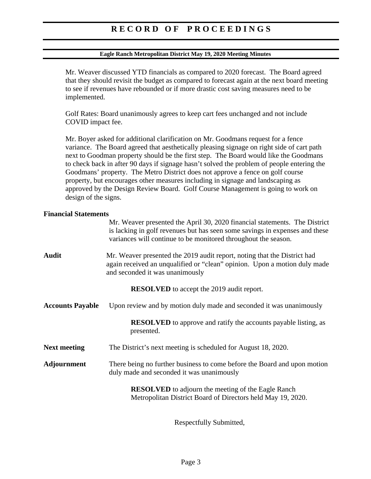#### **Eagle Ranch Metropolitan District May 19, 2020 Meeting Minutes**

Mr. Weaver discussed YTD financials as compared to 2020 forecast. The Board agreed that they should revisit the budget as compared to forecast again at the next board meeting to see if revenues have rebounded or if more drastic cost saving measures need to be implemented.

 Golf Rates: Board unanimously agrees to keep cart fees unchanged and not include COVID impact fee.

Mr. Boyer asked for additional clarification on Mr. Goodmans request for a fence variance. The Board agreed that aesthetically pleasing signage on right side of cart path next to Goodman property should be the first step. The Board would like the Goodmans to check back in after 90 days if signage hasn't solved the problem of people entering the Goodmans' property. The Metro District does not approve a fence on golf course property, but encourages other measures including in signage and landscaping as approved by the Design Review Board. Golf Course Management is going to work on design of the signs.

#### **Financial Statements**

|                                                  | Mr. Weaver presented the April 30, 2020 financial statements. The District<br>is lacking in golf revenues but has seen some savings in expenses and these<br>variances will continue to be monitored throughout the season. |  |
|--------------------------------------------------|-----------------------------------------------------------------------------------------------------------------------------------------------------------------------------------------------------------------------------|--|
| <b>Audit</b>                                     | Mr. Weaver presented the 2019 audit report, noting that the District had<br>again received an unqualified or "clean" opinion. Upon a motion duly made<br>and seconded it was unanimously                                    |  |
| <b>RESOLVED</b> to accept the 2019 audit report. |                                                                                                                                                                                                                             |  |
| <b>Accounts Payable</b>                          | Upon review and by motion duly made and seconded it was unanimously                                                                                                                                                         |  |
|                                                  | <b>RESOLVED</b> to approve and ratify the accounts payable listing, as<br>presented.                                                                                                                                        |  |
| <b>Next meeting</b>                              | The District's next meeting is scheduled for August 18, 2020.                                                                                                                                                               |  |
| Adjournment                                      | There being no further business to come before the Board and upon motion<br>duly made and seconded it was unanimously                                                                                                       |  |
|                                                  | <b>RESOLVED</b> to adjourn the meeting of the Eagle Ranch<br>Metropolitan District Board of Directors held May 19, 2020.                                                                                                    |  |
|                                                  |                                                                                                                                                                                                                             |  |

Respectfully Submitted,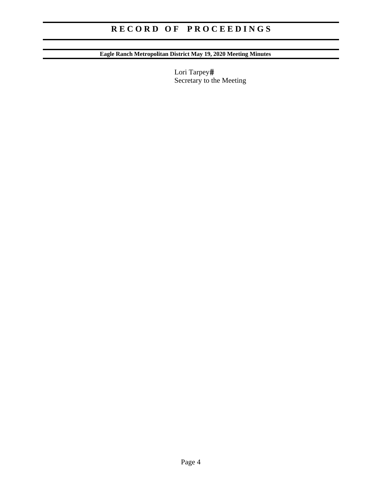# **Eagle Ranch Metropolitan District May 19, 2020 Meeting Minutes**

Lori Tarpey# Secretary to the Meeting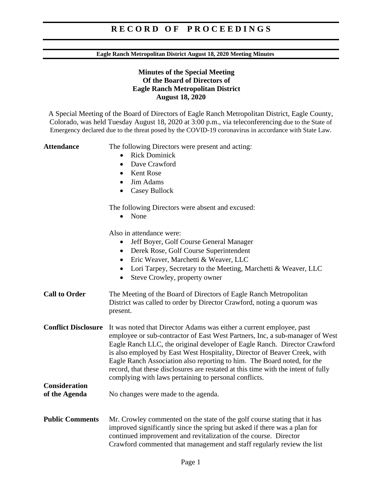#### **Eagle Ranch Metropolitan District August 18, 2020 Meeting Minutes**

### **Minutes of the Special Meeting Of the Board of Directors of Eagle Ranch Metropolitan District August 18, 2020**

A Special Meeting of the Board of Directors of Eagle Ranch Metropolitan District, Eagle County, Colorado, was held Tuesday August 18, 2020 at 3:00 p.m., via teleconferencing due to the State of Emergency declared due to the threat posed by the COVID-19 coronavirus in accordance with State Law.

Attendance The following Directors were present and acting:

- Rick Dominick
- Dave Crawford
- Kent Rose
- Jim Adams
- Casey Bullock

The following Directors were absent and excused:

• None

Also in attendance were:

- Jeff Boyer, Golf Course General Manager
- Derek Rose, Golf Course Superintendent
- Eric Weaver, Marchetti & Weaver, LLC
- Lori Tarpey, Secretary to the Meeting, Marchetti & Weaver, LLC
- Steve Crowley, property owner
- **Call to Order** The Meeting of the Board of Directors of Eagle Ranch Metropolitan District was called to order by Director Crawford, noting a quorum was present.
- **Conflict Disclosure** It was noted that Director Adams was either a current employee, past employee or sub-contractor of East West Partners, Inc, a sub-manager of West Eagle Ranch LLC, the original developer of Eagle Ranch. Director Crawford is also employed by East West Hospitality, Director of Beaver Creek, with Eagle Ranch Association also reporting to him. The Board noted, for the record, that these disclosures are restated at this time with the intent of fully complying with laws pertaining to personal conflicts. **Consideration**
- **of the Agenda** No changes were made to the agenda.
- **Public Comments** Mr. Crowley commented on the state of the golf course stating that it has improved significantly since the spring but asked if there was a plan for continued improvement and revitalization of the course. Director Crawford commented that management and staff regularly review the list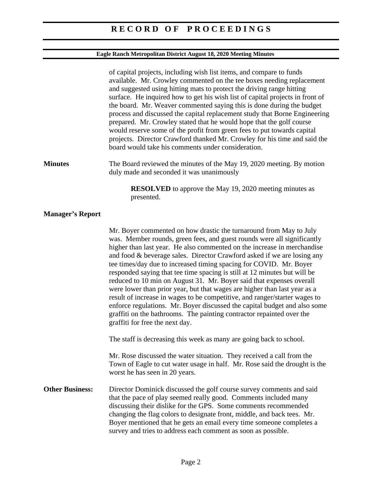## **Eagle Ranch Metropolitan District August 18, 2020 Meeting Minutes**

|                         | of capital projects, including wish list items, and compare to funds<br>available. Mr. Crowley commented on the tee boxes needing replacement<br>and suggested using hitting mats to protect the driving range hitting<br>surface. He inquired how to get his wish list of capital projects in front of<br>the board. Mr. Weaver commented saying this is done during the budget<br>process and discussed the capital replacement study that Borne Engineering<br>prepared. Mr. Crowley stated that he would hope that the golf course<br>would reserve some of the profit from green fees to put towards capital<br>projects. Director Crawford thanked Mr. Crowley for his time and said the<br>board would take his comments under consideration.                                                                                                                               |
|-------------------------|------------------------------------------------------------------------------------------------------------------------------------------------------------------------------------------------------------------------------------------------------------------------------------------------------------------------------------------------------------------------------------------------------------------------------------------------------------------------------------------------------------------------------------------------------------------------------------------------------------------------------------------------------------------------------------------------------------------------------------------------------------------------------------------------------------------------------------------------------------------------------------|
| <b>Minutes</b>          | The Board reviewed the minutes of the May 19, 2020 meeting. By motion<br>duly made and seconded it was unanimously                                                                                                                                                                                                                                                                                                                                                                                                                                                                                                                                                                                                                                                                                                                                                                 |
|                         | <b>RESOLVED</b> to approve the May 19, 2020 meeting minutes as<br>presented.                                                                                                                                                                                                                                                                                                                                                                                                                                                                                                                                                                                                                                                                                                                                                                                                       |
| <b>Manager's Report</b> |                                                                                                                                                                                                                                                                                                                                                                                                                                                                                                                                                                                                                                                                                                                                                                                                                                                                                    |
|                         | Mr. Boyer commented on how drastic the turnaround from May to July<br>was. Member rounds, green fees, and guest rounds were all significantly<br>higher than last year. He also commented on the increase in merchandise<br>and food & beverage sales. Director Crawford asked if we are losing any<br>tee times/day due to increased timing spacing for COVID. Mr. Boyer<br>responded saying that tee time spacing is still at 12 minutes but will be<br>reduced to 10 min on August 31. Mr. Boyer said that expenses overall<br>were lower than prior year, but that wages are higher than last year as a<br>result of increase in wages to be competitive, and ranger/starter wages to<br>enforce regulations. Mr. Boyer discussed the capital budget and also some<br>graffiti on the bathrooms. The painting contractor repainted over the<br>graffiti for free the next day. |
|                         | The staff is decreasing this week as many are going back to school.                                                                                                                                                                                                                                                                                                                                                                                                                                                                                                                                                                                                                                                                                                                                                                                                                |
|                         | Mr. Rose discussed the water situation. They received a call from the<br>Town of Eagle to cut water usage in half. Mr. Rose said the drought is the<br>worst he has seen in 20 years.                                                                                                                                                                                                                                                                                                                                                                                                                                                                                                                                                                                                                                                                                              |
| <b>Other Business:</b>  | Director Dominick discussed the golf course survey comments and said<br>that the pace of play seemed really good. Comments included many<br>discussing their dislike for the GPS. Some comments recommended<br>changing the flag colors to designate front, middle, and back tees. Mr.<br>Boyer mentioned that he gets an email every time someone completes a<br>survey and tries to address each comment as soon as possible.                                                                                                                                                                                                                                                                                                                                                                                                                                                    |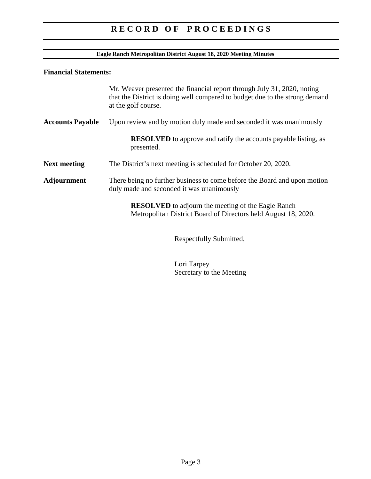### **Eagle Ranch Metropolitan District August 18, 2020 Meeting Minutes**

## **Financial Statements:**

|                         | Mr. Weaver presented the financial report through July 31, 2020, noting<br>that the District is doing well compared to budget due to the strong demand<br>at the golf course. |  |
|-------------------------|-------------------------------------------------------------------------------------------------------------------------------------------------------------------------------|--|
| <b>Accounts Payable</b> | Upon review and by motion duly made and seconded it was unanimously                                                                                                           |  |
|                         | <b>RESOLVED</b> to approve and ratify the accounts payable listing, as<br>presented.                                                                                          |  |
| <b>Next meeting</b>     | The District's next meeting is scheduled for October 20, 2020.                                                                                                                |  |
| Adjournment             | There being no further business to come before the Board and upon motion<br>duly made and seconded it was unanimously                                                         |  |
|                         | <b>RESOLVED</b> to adjourn the meeting of the Eagle Ranch<br>Metropolitan District Board of Directors held August 18, 2020.                                                   |  |
|                         | Respectfully Submitted,                                                                                                                                                       |  |

Lori Tarpey Secretary to the Meeting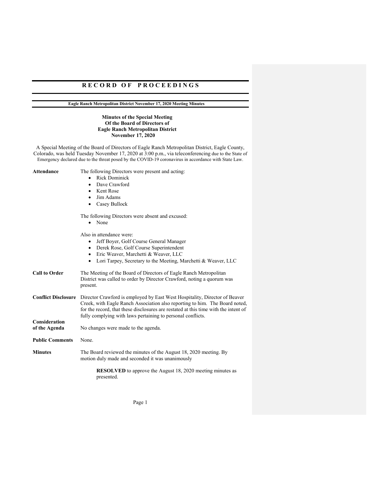**Eagle Ranch Metropolitan District November 17, 2020 Meeting Minutes** 

#### **Minutes of the Special Meeting Of the Board of Directors of Eagle Ranch Metropolitan District November 17, 2020**

A Special Meeting of the Board of Directors of Eagle Ranch Metropolitan District, Eagle County, Colorado, was held Tuesday November 17, 2020 at 3:00 p.m., via teleconferencing due to the State of Emergency declared due to the threat posed by the COVID-19 coronavirus in accordance with State Law.

**Attendance** The following Directors were present and acting:

- Rick Dominick
- Dave Crawford
- Kent Rose
- Jim Adams
- Casey Bullock

The following Directors were absent and excused:

• None

Also in attendance were:

- Jeff Boyer, Golf Course General Manager
- Derek Rose, Golf Course Superintendent
- Eric Weaver, Marchetti & Weaver, LLC
- Lori Tarpey, Secretary to the Meeting, Marchetti & Weaver, LLC

| <b>Call to Order</b> | The Meeting of the Board of Directors of Eagle Ranch Metropolitan<br>District was called to order by Director Crawford, noting a quorum was<br>present. |  |
|----------------------|---------------------------------------------------------------------------------------------------------------------------------------------------------|--|
|                      | <b>Conflict Disclosure</b> Director Crawford is employed by East West Hospitality, Director of Beaver                                                   |  |

Creek, with Eagle Ranch Association also reporting to him. The Board noted, for the record, that these disclosures are restated at this time with the intent of fully complying with laws pertaining to personal conflicts. **Consideration** 

**of the Agenda** No changes were made to the agenda. Public Comments None. **Minutes** The Board reviewed the minutes of the August 18, 2020 meeting. By motion duly made and seconded it was unanimously

**RESOLVED** to approve the August 18, 2020 meeting minutes as presented.

Page 1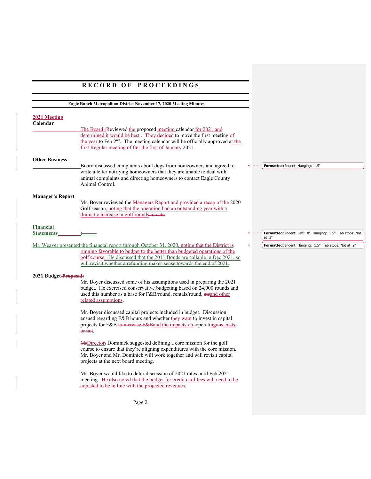|                                       | Eagle Ranch Metropolitan District November 17, 2020 Meeting Minutes                                                                                                                                                                                                                                                                 |                                                                       |
|---------------------------------------|-------------------------------------------------------------------------------------------------------------------------------------------------------------------------------------------------------------------------------------------------------------------------------------------------------------------------------------|-----------------------------------------------------------------------|
| 2021 Meeting<br>Calendar              | The Board renewieved the proposed meeting calendar for 2021 and<br>determined it would be best - They decided to move the first meeting of<br>the year to Feb 2 <sup>nd</sup> . The meeting calendar will be officially approved at the<br>first Regular meeting of fter the first of January 2021.                                 |                                                                       |
| <b>Other Business</b>                 | Board discussed complaints about dogs from homeowners and agreed to<br>write a letter notifying homeowners that they are unable to deal with<br>animal complaints and directing homeowners to contact Eagle County<br>Animal Control.                                                                                               | Formatted: Indent: Hanging: 1.5"                                      |
| <b>Manager's Report</b>               | Mr. Boyer reviewed the Managers Report and provided a recap of the 2020<br>Golf season, noting that the operation had an outstanding year with a<br>dramatic increase in golf rounds to date.                                                                                                                                       |                                                                       |
| <b>Financial</b><br><b>Statements</b> |                                                                                                                                                                                                                                                                                                                                     | Formatted: Indent: Left: 0", Hanging: 1.5", Tab stops: Not<br>at $2"$ |
|                                       | Mr. Weaver presented the financial report through October 31, 2020, noting that the District is<br>running favorable to budget to the better than budgeted operations of the<br>golf course. He discussed that the 2011 Bonds are callable in Dec 2021, so<br>will revisit whether a refunding makes sense towards the end of 2021. | Formatted: Indent: Hanging: 1.5", Tab stops: Not at 2"                |
| 2021 Budget-Proposal:                 | Mr. Boyer discussed some of his assumptions used in preparing the 2021<br>budget. He exercised conservative budgeting based on 24,000 rounds and<br>used this number as a base for F&B/round, rentals/round, etcand other<br>related assumptions.                                                                                   |                                                                       |
|                                       | Mr. Boyer discussed capital projects included in budget. Discussion<br>ensued regarding F&B hours and whether they want to invest in capital<br>projects for F&B to increase F&B and the impacts on -operating one costs,<br>or not.                                                                                                |                                                                       |
|                                       | <b>MrDirector.</b> Dominick suggested defining a core mission for the golf<br>course to ensure that they're aligning expenditures with the core mission.<br>Mr. Boyer and Mr. Dominick will work together and will revisit capital<br>projects at the next board meeting.                                                           |                                                                       |
|                                       | Mr. Boyer would like to defer discussion of 2021 rates until Feb 2021<br>meeting. He also noted that the budget for credit card fees will need to be<br>adjusted to be in line with the projected revenues.                                                                                                                         |                                                                       |
|                                       | Page 2                                                                                                                                                                                                                                                                                                                              |                                                                       |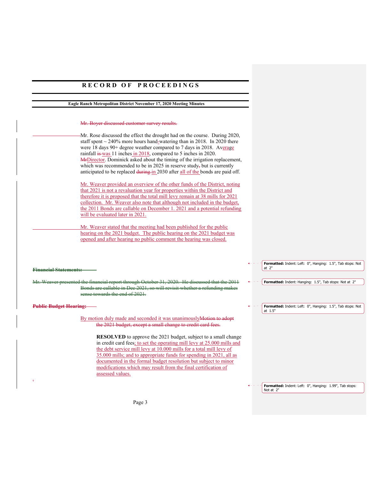#### **Eagle Ranch Metropolitan District November 17, 2020 Meeting Minutes**

#### Mr. Boyer discussed customer survey results.

Mr. Rose discussed the effect the drought had on the course. During 2020, staff spent  $\sim$  240% more hours hand-watering than in 2018. In 2020 there were 18 days 90+ degree weather compared to 7 days in 2018. Average rainfall is was 11 inches in 2018, compared to 5 inches in 2020. MrDirector. Dominick asked about the timing of the irrigation replacement, which was recommended to be in 2025 in reserve study, but is currently anticipated to be replaced during in 2030 after all of the bonds are paid off.

Mr. Weaver provided an overview of the other funds of the District, noting that 2021 is not a revaluation year for properties within the District and therefore it is proposed that the total mill levy remain at 38 mills for 2021 collection. Mr. Weaver also note that although not included in the budget, the 2011 Bonds are callable on December 1. 2021 and a potential refunding will be evaluated later in 2021.

 Mr. Weaver stated that the meeting had been published for the public hearing on the 2021 budget. The public hearing on the 2021 budget was opened and after hearing no public comment the hearing was closed.

#### **Financial Statements:**

Weaver presented the financial report through October 31, 2020. He discussed that the  $2011$ Bonds are callable in Dec 2021, so will revisit whether a refunding makes sense towards the end of 2021.

#### **Public Budget Hearing:**

.

By motion duly made and seconded it was unanimouslyMotion to adopt the 2021 budget, except a small change to credit card fees.

> **RESOLVED** to approve the 2021 budget, subject to a small change in credit card fees; to set the operating mill levy at 25.000 mills and the debt service mill levy at 10.000 mills for a total mill levy of 35.000 mills; and to appropriate funds for spending in 2021, all as documented in the formal budget resolution but subject to minor modifications which may result from the final certification of assessed values.

> > **Formatted:** Indent: Left: 0", Hanging: 1.99", Tab stops: Not at 2"

**Formatted:** Indent: Left: 0", Hanging: 1.5", Tab stops: Not

**Formatted:** Indent: Hanging: 1.5", Tab stops: Not at 2"

**Formatted:** Indent: Left: 0", Hanging: 1.5", Tab stops: Not

at 2"

at 1.5"

Page 3